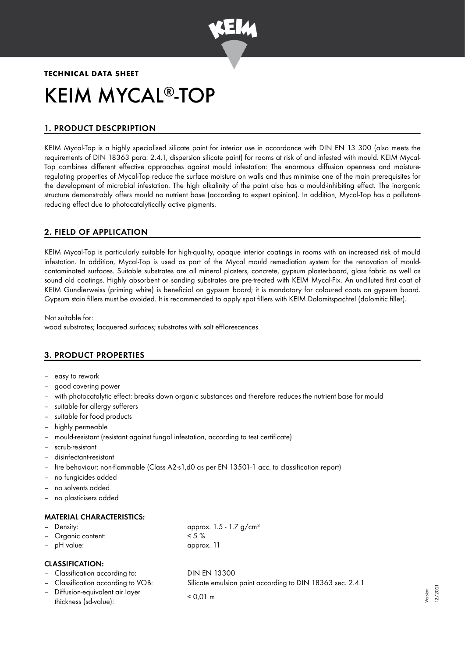

# **TECHNICAL DATA SHEET** KEIM MYCAL<sup>®</sup>-TOP

# 1. PRODUCT DESCPRIPTION

KEIM Mycal-Top is a highly specialised silicate paint for interior use in accordance with DIN EN 13 300 (also meets the requirements of DIN 18363 para. 2.4.1, dispersion silicate paint) for rooms at risk of and infested with mould. KEIM Mycal-Top combines different effective approaches against mould infestation: The enormous diffusion openness and moistureregulating properties of Mycal-Top reduce the surface moisture on walls and thus minimise one of the main prerequisites for the development of microbial infestation. The high alkalinity of the paint also has a mould-inhibiting effect. The inorganic structure demonstrably offers mould no nutrient base (according to expert opinion). In addition, Mycal-Top has a pollutantreducing effect due to photocatalytically active pigments.

## 2. FIELD OF APPLICATION

KEIM Mycal-Top is particularly suitable for high-quality, opaque interior coatings in rooms with an increased risk of mould infestation. In addition, Mycal-Top is used as part of the Mycal mould remediation system for the renovation of mouldcontaminated surfaces. Suitable substrates are all mineral plasters, concrete, gypsum plasterboard, glass fabric as well as sound old coatings. Highly absorbent or sanding substrates are pre-treated with KEIM Mycal-Fix. An undiluted first coat of KEIM Gundierweiss (priming white) is beneficial on gypsum board; it is mandatory for coloured coats on gypsum board. Gypsum stain fillers must be avoided. It is recommended to apply spot fillers with KEIM Dolomitspachtel (dolomitic filler).

Not suitable for: wood substrates; lacquered surfaces; substrates with salt efflorescences

## 3. PRODUCT PROPERTIES

- easy to rework
- good covering power
- with photocatalytic effect: breaks down organic substances and therefore reduces the nutrient base for mould
- suitable for allergy sufferers
- suitable for food products
- highly permeable
- mould-resistant (resistant against fungal infestation, according to test certificate)
- scrub-resistant
- disinfectant-resistant
- fire behaviour: non-flammable (Class A2-s1,d0 as per EN 13501-1 acc. to classification report)
- no fungicides added
- no solvents added
- no plasticisers added

## MATERIAL CHARACTERISTICS:

| – Density:         | approx. $1.5 - 1.7$ g/cm <sup>3</sup> |
|--------------------|---------------------------------------|
| - Organic content: | $<$ 5 %                               |
| - pH value:        | approx. 11                            |

## CLASSIFICATION:

- Classification according to: DIN EN 13300 – Classification according to VOB: Silicate emulsion paint according to DIN 18363 sec. 2.4.1
- Diffusion-equivalent air layer thickness (sd-value): < 0,01 m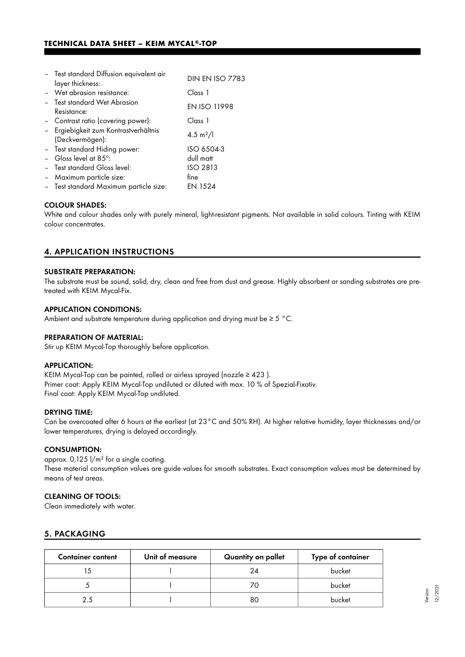| - Test standard Diffusion equivalent air | <b>DIN EN ISO 7783</b> |  |
|------------------------------------------|------------------------|--|
| layer thickness:                         |                        |  |
| - Wet abrasion resistance:               | Class 1                |  |
| - Test standard Wet Abrasion             | <b>EN ISO 11998</b>    |  |
| Resistance:                              |                        |  |
| - Contrast ratio (covering power):       | Class 1                |  |
| Ergiebigkeit zum Kontrastverhältnis      | 4.5 m <sup>2</sup> /l  |  |
| (Deckvermögen):                          |                        |  |
| - Test standard Hiding power:            | ISO 6504-3             |  |
| Gloss level at 85°:                      | dull matt              |  |
| - Test standard Gloss level:             | <b>ISO 2813</b>        |  |
| - Maximum particle size:                 | fine                   |  |
| - Test standard Maximum particle size:   | EN 1524                |  |

#### COLOUR SHADES:

White and colour shades only with purely mineral, light-resistant pigments. Not available in solid colours. Tinting with KEIM colour concentrates.

## 4. APPLICATION INSTRUCTIONS

#### SUBSTRATE PREPARATION:

The substrate must be sound, solid, dry, clean and free from dust and grease. Highly absorbent or sanding substrates are pretreated with KEIM Mycal-Fix.

#### APPLICATION CONDITIONS:

Ambient and substrate temperature during application and drying must be ≥ 5 °C.

#### PREPARATION OF MATERIAL:

Stir up KEIM Mycal-Top thoroughly before application.

#### APPLICATION:

KEIM Mycal-Top can be painted, rolled or airless sprayed (nozzle ≥ 423 ). Primer coat: Apply KEIM Mycal-Top undiluted or diluted with max. 10 % of Spezial-Fixativ. Final coat: Apply KEIM Mycal-Top undiluted.

#### DRYING TIME:

Can be overcoated after 6 hours at the earliest (at 23°C and 50% RH). At higher relative humidity, layer thicknesses and/or lower temperatures, drying is delayed accordingly.

#### CONSUMPTION:

approx. 0,125 l/m² for a single coating. These material consumption values are guide values for smooth substrates. Exact consumption values must be determined by means of test areas.

#### CLEANING OF TOOLS:

Clean immediately with water.

## 5. PACKAGING

| <b>Container content</b> | Unit of measure | Quantity on pallet | Type of container |
|--------------------------|-----------------|--------------------|-------------------|
|                          |                 | 24                 | bucket            |
|                          |                 | 70                 | bucket            |
| 25                       |                 | 80                 | bucket            |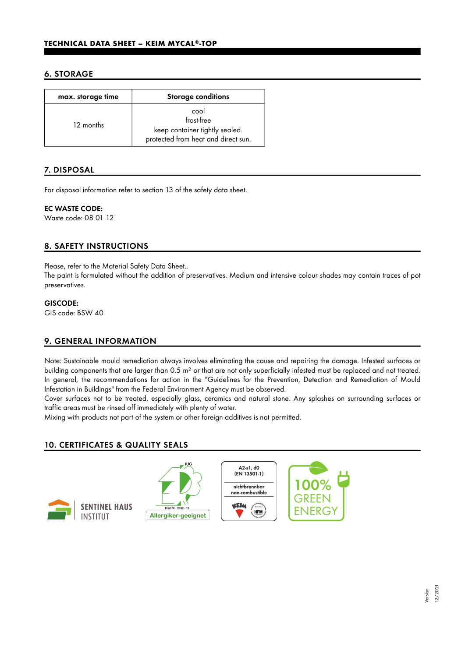## 6. STORAGE

| max. storage time | <b>Storage conditions</b>                                                                   |
|-------------------|---------------------------------------------------------------------------------------------|
| 12 months         | cool<br>frost-free<br>keep container tightly sealed.<br>protected from heat and direct sun. |

## 7. DISPOSAL

For disposal information refer to section 13 of the safety data sheet.

#### EC WASTE CODE:

Waste code: 08 01 12

## 8. SAFETY INSTRUCTIONS

Please, refer to the Material Safety Data Sheet..

The paint is formulated without the addition of preservatives. Medium and intensive colour shades may contain traces of pot preservatives.

#### GISCODE:

GIS code: BSW 40

## 9. GENERAL INFORMATION

Note: Sustainable mould remediation always involves eliminating the cause and repairing the damage. Infested surfaces or building components that are larger than 0.5 m² or that are not only superficially infested must be replaced and not treated. In general, the recommendations for action in the "Guidelines for the Prevention, Detection and Remediation of Mould Infestation in Buildings" from the Federal Environment Agency must be observed.

Cover surfaces not to be treated, especially glass, ceramics and natural stone. Any splashes on surrounding surfaces or traffic areas must be rinsed off immediately with plenty of water.

Mixing with products not part of the system or other foreign additives is not permitted.

## 10. CERTIFICATES & QUALITY SEALS